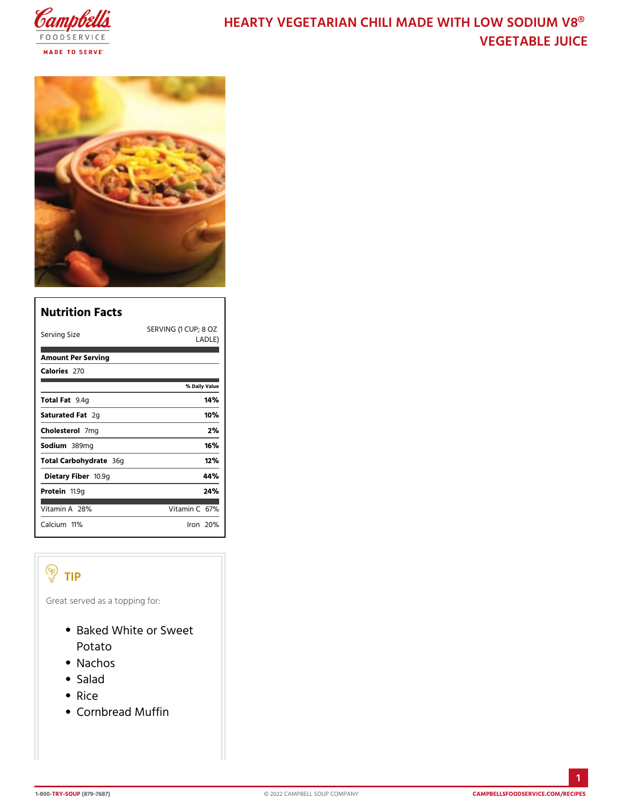# HEARTY VEGETARIAN CHILI MADE WITH **VEGETABLE JU**

| Nutrition Facts           |                                 |
|---------------------------|---------------------------------|
| Serving Size              | SERVING (1 CUP; 8 OZ<br>LA DLE) |
| Amount Per Serving        |                                 |
| Calorie2s70               |                                 |
|                           | % Daily Vallue                  |
| Total F9at4g              | 14%                             |
| Saturated 2Fgat           | 10%                             |
| Choleste <b>7</b> onlg    | 2%                              |
| Sodium389mg               | 16%                             |
| Total Carbohy3d@gte       | 12%                             |
| Dietary F1i <b>b</b> e9rg | 44%                             |
| Proteifi 1.9g             | 24%                             |
| Vitamin2 <sup>8</sup> %   | Vitamin6C%                      |
| $C$ alciumt $\%$          | lron 20%                        |

#### TIP

Great served as a topping for:

- Baked White or Sweet Potato
- Nachos
- Salad
- Rice
- Cornbread Muffin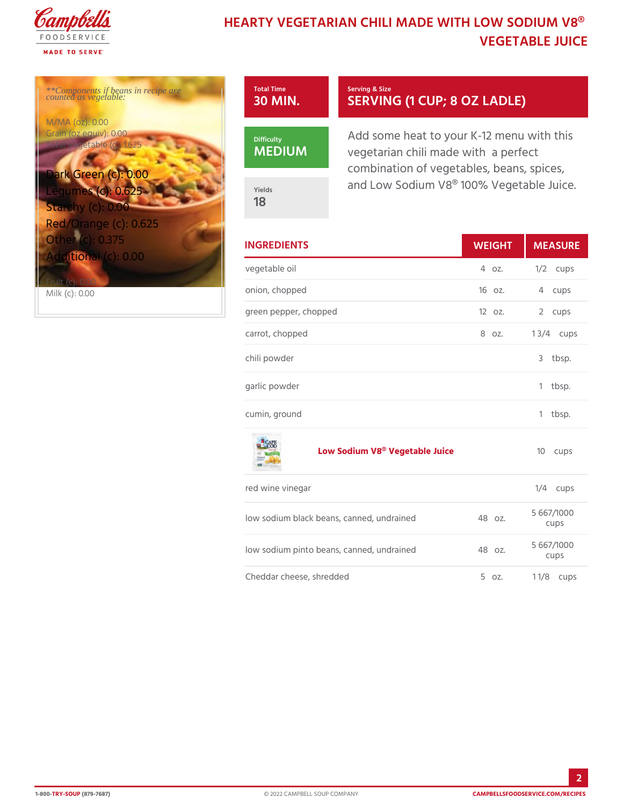# HEARTY VEGETARIAN CHILI MADE WITH **VEGETABLE JU**

\*\*Components if beans in recipe are counted as vegetable:

M/MA (oz): 0.00 Grain (oz equiv): 0.00 Total Vegetable (c): 1.625

Dark Green (c): 0.00 Legumes (c): 0.625 Starchy (c): 0.00 Red/Orange (c): 0.625 Other (c): 0.375 Additional (c): 0.00

Fruit (c): 0.00 Milk (c): 0.00



MEDIUM

Yields 18

Serving & Size SERVING (1 CUP; 8 OZ

Add some heat to your  $K-12$  me  $vegetarian$  chili made with a perfect combination of vegetables, bea and Low Sodium V8® 100% Veg

| <b>INGREDIENTS</b>    | WEIGH MEASU     |
|-----------------------|-----------------|
| vegetable oil         | 4 oz. 1/2 cups  |
| onion, chopped        | 16 oz. 4 cups   |
| green pepper, chopped | 12 oz. 2 cups   |
| carrot, chopped       | 8 oz. 1 3/4cups |
| chili powder          | 3 tbsp.         |
| garlic powder         | 1 tbsp.         |
| cumin, ground         | tbsp.<br>1.     |

[Low Sodium V8® Veg](https://www.campbellsfoodservice.com/product/original-less-fat-kettle-cooked-potato-chips)etable Juice 10 cups

| red wine vinegar         |  |  |                                             | $1/4$ cups |  |                    |
|--------------------------|--|--|---------------------------------------------|------------|--|--------------------|
|                          |  |  | low sodium black beans, canned, un48adned   |            |  | 5 667/1000<br>CUDS |
|                          |  |  | low sodium pinto beans, canned, und Baonzed |            |  | 5 667/1000<br>cups |
| Cheddar cheese, shredded |  |  |                                             |            |  | 5 $oz. 1 1/8cups$  |

2